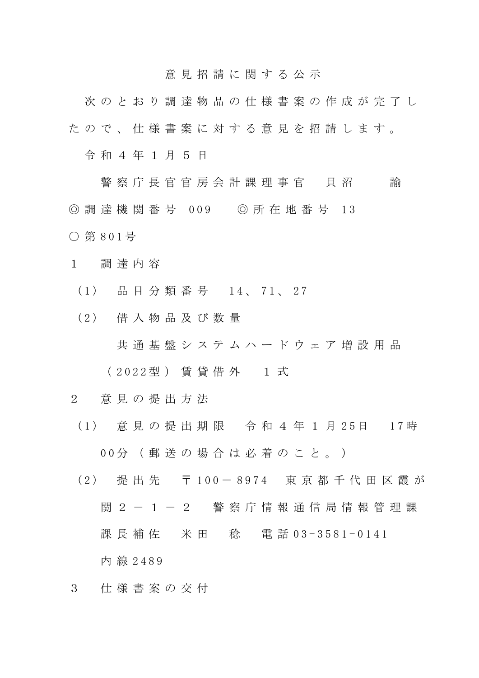## 意 見 招 請 に 関 す る 公 示

次 の と お り 調 達 物 品 の 仕 様 書 案 の 作 成 が 完 了 し た の で 、 仕 様 書 案 に 対 す る 意 見 を 招 請 し ま す 。

令 和 4 年 1 月 5 日

警 察 庁 長 官 官 房 会 計 課 理 事 官 員 沼 前 ◎ 調 達 機 関 番 号 009 ◎ 所 在 地 番 号 13 ○ 第 8 0 1 号

- 1 調 達 内 容
	- (1) 品目分類番号 14、71、27
	- ( 2 ) 借 入 物 品 及 び 数 量

共通基盤システムハードウェア増設用品

( 2 0 2 2 型 ) 賃 貸 借 外 1 式

- 2 意 見 の 提 出 方 法
	- ( 1 ) 意 見 の 提 出 期 限 令 和 4 年 1 月 2 5 日 1 7 時

0 0 分 ( 郵 送 の 場 合 は 必 着 の こ と 。 )

- ( 2 ) 提 出 先 〒 1 0 0 8 9 7 4 東 京 都 千 代 田 区 霞 が 関 2 - 1 - 2 警 察 庁 情 報 通 信 局 情 報 管 理 課 課 長 補 佐 の 米 田 の 稔 の 電 話 0 3 - 3 5 8 1 - 0 1 4 1 内 線 2 4 8 9
- 3 仕 様 書 案 の 交 付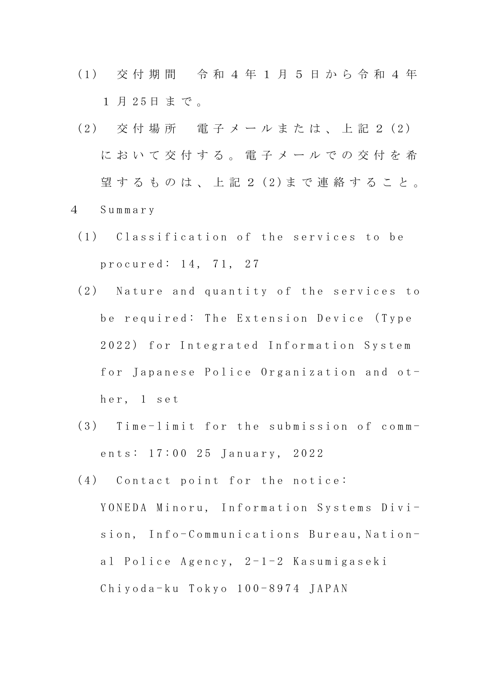- ( 1 ) 交 付 期 間 令 和 4 年 1 月 5 日 か ら 令 和 4 年 1 月 25日まで。
- (2) 交付場所 電子メールまたは、上記 2 (2) に お い て 交 付 す る 。 電 子 メ ー ル で の 交 付 を 希 望するものは、上記2(2)まで連絡すること。 4 S u m m a r y
- 
- (1) Classification of the services to be p r o c u r e d : 14, 71, 27
- (2) Nature and quantity of the services to be required: The Extension Device (Type 2022) for Integrated Information System for Japanese Police Organization and other, 1 set
- $(3)$  Time-limit for the submission of comments: 17:00 25 January, 2022
- $(4)$  Contact point for the notice:

YONEDA Minoru, Information Systems Division, Info-Communications Bureau, National Police Agency,  $2-1-2$  Kasumigaseki  $Ch$ i y o d a - k u  $To$  k y o  $100 - 8974$  JAPAN